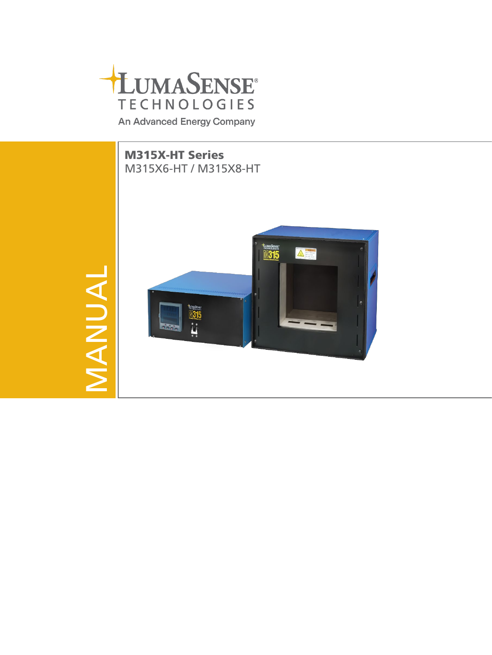

An Advanced Energy Company

# M315X-HT Series

M315X6-HT / M315X8-HT

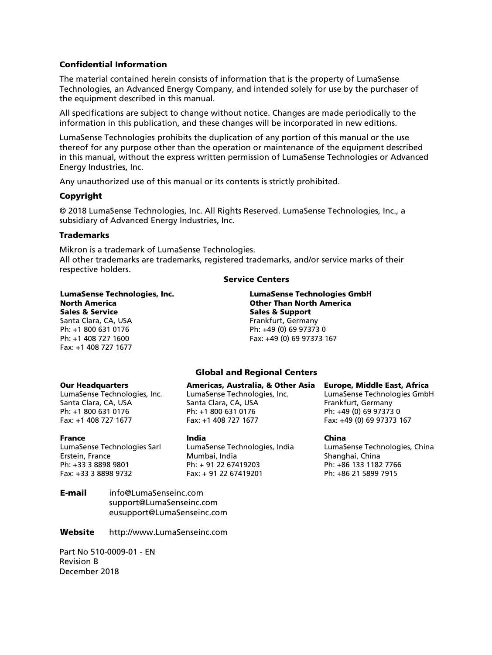#### Confidential Information

The material contained herein consists of information that is the property of LumaSense Technologies, an Advanced Energy Company, and intended solely for use by the purchaser of the equipment described in this manual.

All specifications are subject to change without notice. Changes are made periodically to the information in this publication, and these changes will be incorporated in new editions.

LumaSense Technologies prohibits the duplication of any portion of this manual or the use thereof for any purpose other than the operation or maintenance of the equipment described in this manual, without the express written permission of LumaSense Technologies or Advanced Energy Industries, Inc.

Any unauthorized use of this manual or its contents is strictly prohibited.

#### Copyright

© 2018 LumaSense Technologies, Inc. All Rights Reserved. LumaSense Technologies, Inc., a subsidiary of Advanced Energy Industries, Inc.

#### **Trademarks**

Mikron is a trademark of LumaSense Technologies. All other trademarks are trademarks, registered trademarks, and/or service marks of their respective holders.

#### Service Centers

LumaSense Technologies, Inc. North America Sales & Service

Santa Clara, CA, USA Ph: +1 800 631 0176 Ph: +1 408 727 1600 Fax: +1 408 727 1677

LumaSense Technologies GmbH Other Than North America Sales & Support Frankfurt, Germany Ph: +49 (0) 69 97373 0 Fax: +49 (0) 69 97373 167

#### Global and Regional Centers

#### Our Headquarters

LumaSense Technologies, Inc. Santa Clara, CA, USA Ph: +1 800 631 0176 Fax: +1 408 727 1677

#### France

LumaSense Technologies Sarl Erstein, France Ph: +33 3 8898 9801 Fax: +33 3 8898 9732

LumaSense Technologies, Inc. Santa Clara, CA, USA Ph: +1 800 631 0176 Fax: +1 408 727 1677

#### India

LumaSense Technologies, India Mumbai, India Ph: + 91 22 67419203 Fax: + 91 22 67419201

# E-mail info@LumaSenseinc.com support@LumaSenseinc.com

eusupport@LumaSenseinc.com

Website http://www.LumaSenseinc.com

Part No 510-0009-01 - EN Revision B December 2018

#### Americas, Australia, & Other Asia Europe, Middle East, Africa

LumaSense Technologies GmbH Frankfurt, Germany Ph: +49 (0) 69 97373 0 Fax: +49 (0) 69 97373 167

#### China

LumaSense Technologies, China Shanghai, China Ph: +86 133 1182 7766 Ph: +86 21 5899 7915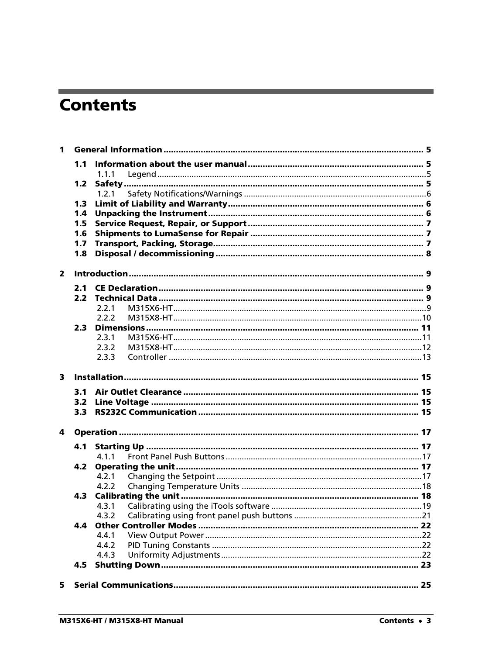# **Contents**

| $\blacksquare$          |       |       |  |
|-------------------------|-------|-------|--|
|                         | 1.1   |       |  |
|                         |       | 1.1.1 |  |
|                         | $1.2$ |       |  |
|                         |       | 1.2.1 |  |
|                         | 1.3   |       |  |
|                         | 1.4   |       |  |
|                         | 1.5   |       |  |
|                         | 1.6   |       |  |
|                         | 1.7   |       |  |
|                         | 1.8   |       |  |
| $\overline{2}$          |       |       |  |
|                         |       |       |  |
|                         | 2.2   |       |  |
|                         |       | 221   |  |
|                         |       | 2.2.2 |  |
|                         | 2.3   |       |  |
|                         |       | 2.3.1 |  |
|                         |       | 2.3.2 |  |
|                         |       | 2.3.3 |  |
| $\overline{\mathbf{3}}$ |       |       |  |
|                         | 3.1   |       |  |
|                         | 3.2   |       |  |
|                         | 3.3   |       |  |
| $\overline{\mathbf{4}}$ |       |       |  |
|                         |       |       |  |
|                         |       | 4.1.1 |  |
|                         | 4.2   |       |  |
|                         |       | 4.2.1 |  |
|                         |       | 4.2.2 |  |
|                         | 4.3   |       |  |
|                         |       | 4.3.1 |  |
|                         |       |       |  |
|                         | 4.4   |       |  |
|                         |       | 4.4.1 |  |
|                         |       | 4.4.2 |  |
|                         |       | 4.4.3 |  |
|                         | 4.5   |       |  |
|                         |       |       |  |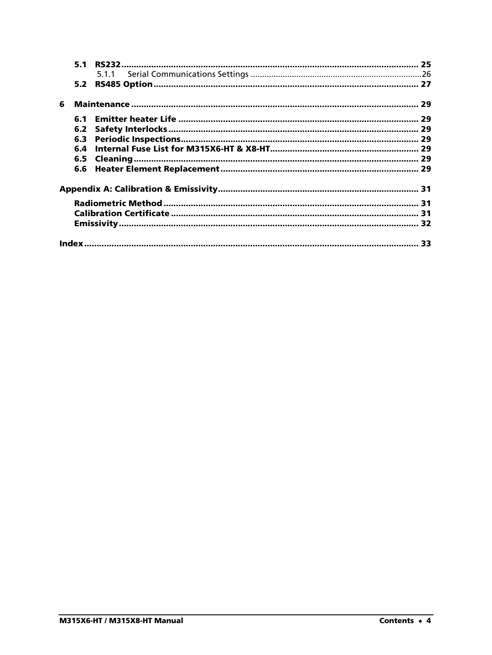| 6 |  |  |
|---|--|--|
|   |  |  |
|   |  |  |
|   |  |  |
|   |  |  |
|   |  |  |
|   |  |  |
|   |  |  |
|   |  |  |
|   |  |  |
|   |  |  |
|   |  |  |
|   |  |  |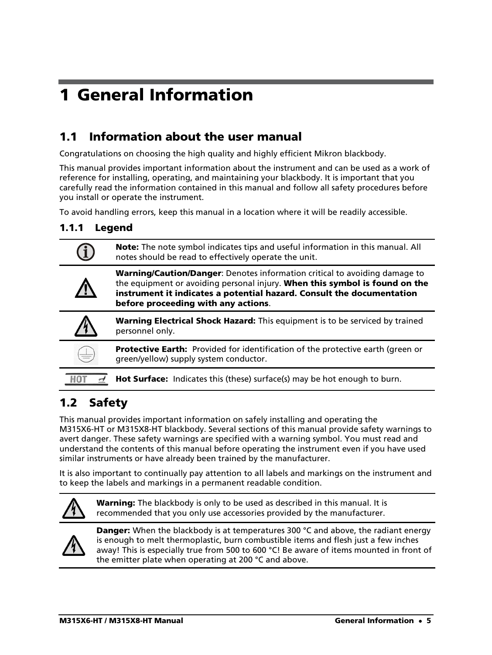# <span id="page-4-0"></span>1 General Information

# <span id="page-4-1"></span>1.1 Information about the user manual

Congratulations on choosing the high quality and highly efficient Mikron blackbody.

This manual provides important information about the instrument and can be used as a work of reference for installing, operating, and maintaining your blackbody. It is important that you carefully read the information contained in this manual and follow all safety procedures before you install or operate the instrument.

To avoid handling errors, keep this manual in a location where it will be readily accessible.

#### <span id="page-4-2"></span>1.1.1 Legend

| <b>Note:</b> The note symbol indicates tips and useful information in this manual. All<br>notes should be read to effectively operate the unit.                                                                                                                                  |
|----------------------------------------------------------------------------------------------------------------------------------------------------------------------------------------------------------------------------------------------------------------------------------|
| <b>Warning/Caution/Danger:</b> Denotes information critical to avoiding damage to<br>the equipment or avoiding personal injury. When this symbol is found on the<br>instrument it indicates a potential hazard. Consult the documentation<br>before proceeding with any actions. |
| Warning Electrical Shock Hazard: This equipment is to be serviced by trained<br>personnel only.                                                                                                                                                                                  |
| Protective Earth: Provided for identification of the protective earth (green or<br>green/yellow) supply system conductor.                                                                                                                                                        |
| <b>Hot Surface:</b> Indicates this (these) surface(s) may be hot enough to burn.                                                                                                                                                                                                 |

# <span id="page-4-3"></span>1.2 Safety

This manual provides important information on safely installing and operating the M315X6-HT or M315X8-HT blackbody. Several sections of this manual provide safety warnings to avert danger. These safety warnings are specified with a warning symbol. You must read and understand the contents of this manual before operating the instrument even if you have used similar instruments or have already been trained by the manufacturer.

It is also important to continually pay attention to all labels and markings on the instrument and to keep the labels and markings in a permanent readable condition.



Warning: The blackbody is only to be used as described in this manual. It is recommended that you only use accessories provided by the manufacturer.



**Danger:** When the blackbody is at temperatures 300 °C and above, the radiant energy is enough to melt thermoplastic, burn combustible items and flesh just a few inches away! This is especially true from 500 to 600 °C! Be aware of items mounted in front of the emitter plate when operating at 200 °C and above.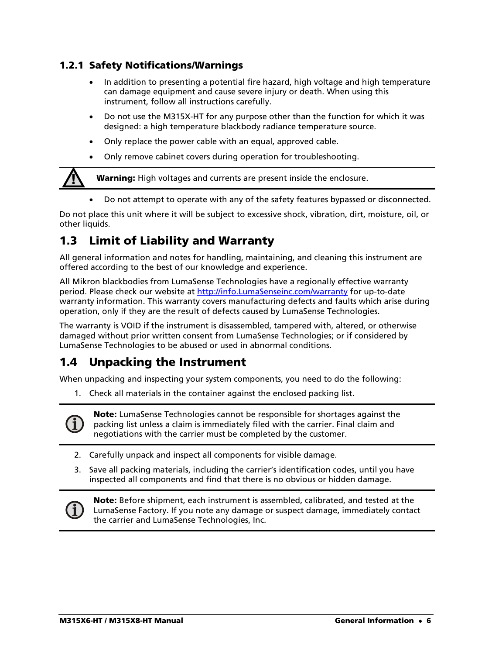### <span id="page-5-0"></span>1.2.1 Safety Notifications/Warnings

- In addition to presenting a potential fire hazard, high voltage and high temperature can damage equipment and cause severe injury or death. When using this instrument, follow all instructions carefully.
- Do not use the M315X-HT for any purpose other than the function for which it was designed: a high temperature blackbody radiance temperature source.
- Only replace the power cable with an equal, approved cable.
- Only remove cabinet covers during operation for troubleshooting.



Warning: High voltages and currents are present inside the enclosure.

• Do not attempt to operate with any of the safety features bypassed or disconnected.

Do not place this unit where it will be subject to excessive shock, vibration, dirt, moisture, oil, or other liquids.

# <span id="page-5-1"></span>1.3 Limit of Liability and Warranty

All general information and notes for handling, maintaining, and cleaning this instrument are offered according to the best of our knowledge and experience.

All Mikron blackbodies from LumaSense Technologies have a regionally effective warranty period. Please check our website at [http://info.LumaSenseinc.com/warranty](http://info.lumasenseinc.com/warranty) for up-to-date warranty information. This warranty covers manufacturing defects and faults which arise during operation, only if they are the result of defects caused by LumaSense Technologies.

The warranty is VOID if the instrument is disassembled, tampered with, altered, or otherwise damaged without prior written consent from LumaSense Technologies; or if considered by LumaSense Technologies to be abused or used in abnormal conditions.

# <span id="page-5-2"></span>1.4 Unpacking the Instrument

When unpacking and inspecting your system components, you need to do the following:

1. Check all materials in the container against the enclosed packing list.



Note: LumaSense Technologies cannot be responsible for shortages against the packing list unless a claim is immediately filed with the carrier. Final claim and negotiations with the carrier must be completed by the customer.

- 2. Carefully unpack and inspect all components for visible damage.
- 3. Save all packing materials, including the carrier's identification codes, until you have inspected all components and find that there is no obvious or hidden damage.



Note: Before shipment, each instrument is assembled, calibrated, and tested at the LumaSense Factory. If you note any damage or suspect damage, immediately contact the carrier and LumaSense Technologies, Inc.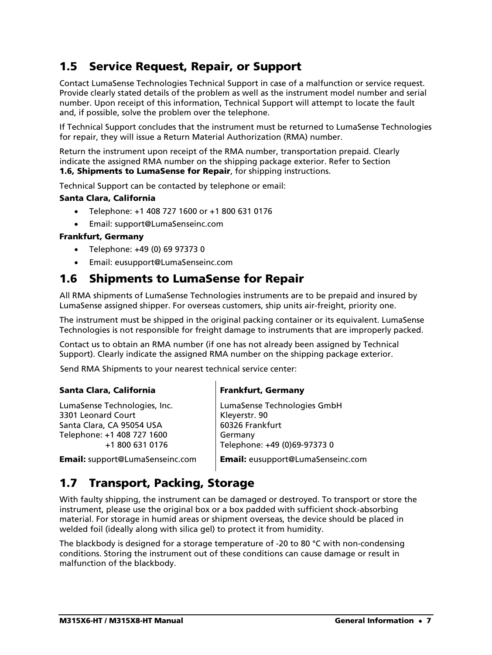# <span id="page-6-0"></span>1.5 Service Request, Repair, or Support

Contact LumaSense Technologies Technical Support in case of a malfunction or service request. Provide clearly stated details of the problem as well as the instrument model number and serial number. Upon receipt of this information, Technical Support will attempt to locate the fault and, if possible, solve the problem over the telephone.

If Technical Support concludes that the instrument must be returned to LumaSense Technologies for repair, they will issue a Return Material Authorization (RMA) number.

Return the instrument upon receipt of the RMA number, transportation prepaid. Clearly indicate the assigned RMA number on the shipping package exterior. Refer to Section 1.6, Shipments to LumaSense for Repair, for shipping instructions.

Technical Support can be contacted by telephone or email:

#### Santa Clara, California

- Telephone: +1 408 727 1600 or +1 800 631 0176
- Email: support@LumaSenseinc.com

#### Frankfurt, Germany

- Telephone: +49 (0) 69 97373 0
- Email: eusupport@LumaSenseinc.com

# <span id="page-6-1"></span>1.6 Shipments to LumaSense for Repair

All RMA shipments of LumaSense Technologies instruments are to be prepaid and insured by LumaSense assigned shipper. For overseas customers, ship units air-freight, priority one.

The instrument must be shipped in the original packing container or its equivalent. LumaSense Technologies is not responsible for freight damage to instruments that are improperly packed.

Contact us to obtain an RMA number (if one has not already been assigned by Technical Support). Clearly indicate the assigned RMA number on the shipping package exterior.

Send RMA Shipments to your nearest technical service center:

| <b>Frankfurt, Germany</b>         |
|-----------------------------------|
| LumaSense Technologies GmbH       |
| Kleyerstr. 90                     |
| 60326 Frankfurt                   |
| Germany                           |
| Telephone: +49 (0)69-97373 0      |
| Email: eusupport@LumaSenseinc.com |
|                                   |

# <span id="page-6-2"></span>1.7 Transport, Packing, Storage

With faulty shipping, the instrument can be damaged or destroyed. To transport or store the instrument, please use the original box or a box padded with sufficient shock-absorbing material. For storage in humid areas or shipment overseas, the device should be placed in welded foil (ideally along with silica gel) to protect it from humidity.

The blackbody is designed for a storage temperature of -20 to 80 °C with non-condensing conditions. Storing the instrument out of these conditions can cause damage or result in malfunction of the blackbody.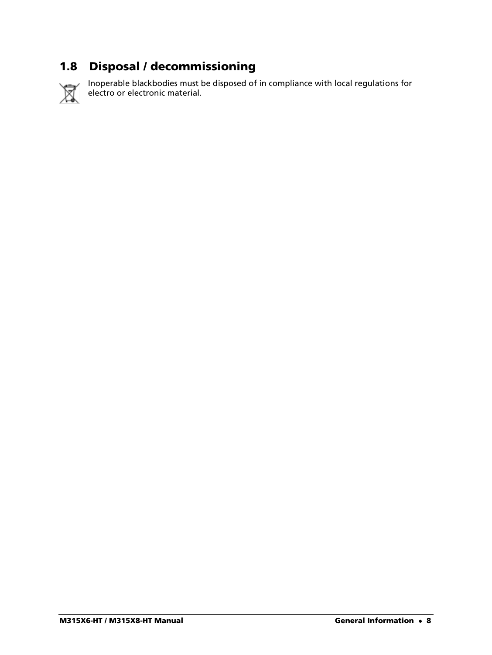# <span id="page-7-0"></span>1.8 Disposal / decommissioning



Inoperable blackbodies must be disposed of in compliance with local regulations for electro or electronic material.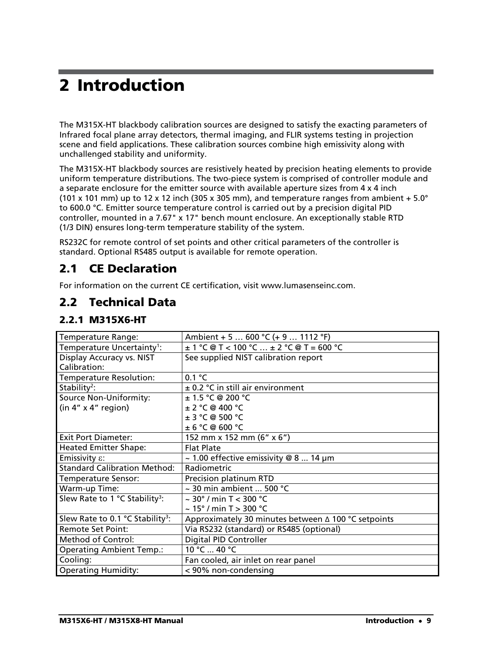# <span id="page-8-0"></span>2 Introduction

The M315X-HT blackbody calibration sources are designed to satisfy the exacting parameters of Infrared focal plane array detectors, thermal imaging, and FLIR systems testing in projection scene and field applications. These calibration sources combine high emissivity along with unchallenged stability and uniformity.

The M315X-HT blackbody sources are resistively heated by precision heating elements to provide uniform temperature distributions. The two-piece system is comprised of controller module and a separate enclosure for the emitter source with available aperture sizes from 4 x 4 inch (101 x 101 mm) up to 12 x 12 inch (305 x 305 mm), and temperature ranges from ambient  $+ 5.0^\circ$ to 600.0 °C. Emitter source temperature control is carried out by a precision digital PID controller, mounted in a 7.67" x 17" bench mount enclosure. An exceptionally stable RTD (1/3 DIN) ensures long-term temperature stability of the system.

RS232C for remote control of set points and other critical parameters of the controller is standard. Optional RS485 output is available for remote operation.

## <span id="page-8-1"></span>2.1 CE Declaration

For information on the current CE certification, visit www.lumasenseinc.com.

## <span id="page-8-2"></span>2.2 Technical Data

### <span id="page-8-3"></span>2.2.1 M315X6-HT

| Temperature Range:                           | Ambient + 5  600 °C (+ 9  1112 °F)                  |  |  |  |
|----------------------------------------------|-----------------------------------------------------|--|--|--|
| Temperature Uncertainty <sup>1</sup> :       | $\pm$ 1 °C @ T < 100 °C $\pm$ 2 °C @ T = 600 °C     |  |  |  |
| Display Accuracy vs. NIST                    | See supplied NIST calibration report                |  |  |  |
| Calibration:                                 |                                                     |  |  |  |
| Temperature Resolution:                      | 0.1 °C                                              |  |  |  |
| Stability <sup>2</sup> :                     | ± 0.2 °C in still air environment                   |  |  |  |
| Source Non-Uniformity:                       | ± 1.5 °C @ 200 °C                                   |  |  |  |
| (in 4" x 4" region)                          | $\pm$ 2 °C @ 400 °C                                 |  |  |  |
|                                              | ± 3 °C @ 500 °C                                     |  |  |  |
|                                              | ± 6 °C @ 600 °C                                     |  |  |  |
| <b>Exit Port Diameter:</b>                   | 152 mm x 152 mm (6" x 6")                           |  |  |  |
| <b>Heated Emitter Shape:</b>                 | <b>Flat Plate</b>                                   |  |  |  |
| Emissivity $\varepsilon$ :                   | $\sim$ 1.00 effective emissivity @ 8  14 µm         |  |  |  |
| <b>Standard Calibration Method:</b>          | Radiometric                                         |  |  |  |
| Temperature Sensor:                          | Precision platinum RTD                              |  |  |  |
| Warm-up Time:                                | $\sim$ 30 min ambient  500 °C                       |  |  |  |
| Slew Rate to 1 °C Stability <sup>3</sup> :   | $\sim$ 30° / min T < 300 °C                         |  |  |  |
|                                              | $\sim$ 15° / min T > 300 °C                         |  |  |  |
| Slew Rate to 0.1 °C Stability <sup>3</sup> : | Approximately 30 minutes between ∆ 100 °C setpoints |  |  |  |
| <b>Remote Set Point:</b>                     | Via RS232 (standard) or RS485 (optional)            |  |  |  |
| <b>Method of Control:</b>                    | Digital PID Controller                              |  |  |  |
| <b>Operating Ambient Temp.:</b>              | 10 °C  40 °C                                        |  |  |  |
| Cooling:                                     | Fan cooled, air inlet on rear panel                 |  |  |  |
| <b>Operating Humidity:</b>                   | < 90% non-condensing                                |  |  |  |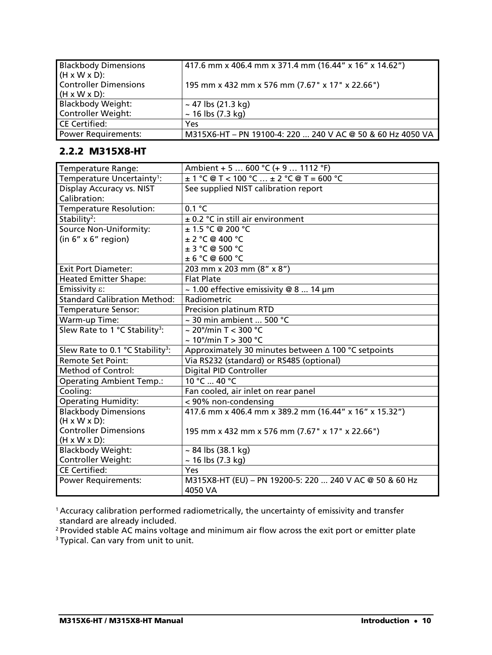| <b>Blackbody Dimensions</b>                               | 417.6 mm x 406.4 mm x 371.4 mm (16.44" x 16" x 14.62")     |
|-----------------------------------------------------------|------------------------------------------------------------|
| $(H \times W \times D)$ :<br><b>Controller Dimensions</b> | 195 mm x 432 mm x 576 mm (7.67" x 17" x 22.66")            |
| $(H \times W \times D)$ :                                 |                                                            |
| <b>Blackbody Weight:</b>                                  | $\sim$ 47 lbs (21.3 kg)                                    |
| Controller Weight:                                        | $~16$ lbs (7.3 kg)                                         |
| <b>CE Certified:</b>                                      | Yes                                                        |
| Power Requirements:                                       | M315X6-HT - PN 19100-4: 220  240 V AC @ 50 & 60 Hz 4050 VA |

### <span id="page-9-0"></span>2.2.2 M315X8-HT

| Temperature Range:                           | Ambient + 5  600 °C (+ 9  1112 °F)                      |  |  |  |
|----------------------------------------------|---------------------------------------------------------|--|--|--|
| Temperature Uncertainty <sup>1</sup> :       | $\pm$ 1 °C @ T < 100 °C $\pm$ 2 °C @ T = 600 °C         |  |  |  |
| Display Accuracy vs. NIST                    | See supplied NIST calibration report                    |  |  |  |
| Calibration:                                 |                                                         |  |  |  |
| Temperature Resolution:                      | 0.1 °C                                                  |  |  |  |
| Stability <sup>2</sup> :                     | ± 0.2 °C in still air environment                       |  |  |  |
| Source Non-Uniformity:                       | ± 1.5 °C @ 200 °C                                       |  |  |  |
| (in 6" x 6" region)                          | ± 2 °C @ 400 °C                                         |  |  |  |
|                                              | ± 3 °C @ 500 °C                                         |  |  |  |
|                                              | ± 6 °C @ 600 °C                                         |  |  |  |
| <b>Exit Port Diameter:</b>                   | 203 mm x 203 mm (8" x 8")                               |  |  |  |
| <b>Heated Emitter Shape:</b>                 | <b>Flat Plate</b>                                       |  |  |  |
| Emissivity $\varepsilon$ :                   | ~ 1.00 effective emissivity @ 8  14 $\mu$ m             |  |  |  |
| <b>Standard Calibration Method:</b>          | Radiometric                                             |  |  |  |
| Temperature Sensor:                          | Precision platinum RTD                                  |  |  |  |
| Warm-up Time:                                | ~30 min ambient $\overline{500}$ °C                     |  |  |  |
| Slew Rate to 1 °C Stability <sup>3</sup> :   | $\sim$ 20°/min T < 300 °C                               |  |  |  |
|                                              | $\sim$ 10°/min T > 300 °C                               |  |  |  |
| Slew Rate to 0.1 °C Stability <sup>3</sup> : | Approximately 30 minutes between ∆ 100 °C setpoints     |  |  |  |
| <b>Remote Set Point:</b>                     | Via RS232 (standard) or RS485 (optional)                |  |  |  |
| <b>Method of Control:</b>                    | Digital PID Controller                                  |  |  |  |
| <b>Operating Ambient Temp.:</b>              | 10 °C  40 °C                                            |  |  |  |
| Cooling:                                     | Fan cooled, air inlet on rear panel                     |  |  |  |
| <b>Operating Humidity:</b>                   | < 90% non-condensing                                    |  |  |  |
| <b>Blackbody Dimensions</b>                  | 417.6 mm x 406.4 mm x 389.2 mm (16.44" x 16" x 15.32")  |  |  |  |
| $(H \times W \times D)$ :                    |                                                         |  |  |  |
| <b>Controller Dimensions</b>                 | 195 mm x 432 mm x 576 mm (7.67" x 17" x 22.66")         |  |  |  |
| $(H \times W \times D)$ :                    |                                                         |  |  |  |
| <b>Blackbody Weight:</b>                     | $~\sim$ 84 lbs (38.1 kg)                                |  |  |  |
| Controller Weight:                           | ~ 16 lbs (7.3 kg)                                       |  |  |  |
| <b>CE Certified:</b>                         | Yes                                                     |  |  |  |
| Power Requirements:                          | M315X8-HT (EU) - PN 19200-5: 220  240 V AC @ 50 & 60 Hz |  |  |  |
|                                              | 4050 VA                                                 |  |  |  |

<sup>1</sup> Accuracy calibration performed radiometrically, the uncertainty of emissivity and transfer standard are already included.

<sup>2</sup> Provided stable AC mains voltage and minimum air flow across the exit port or emitter plate

<sup>3</sup> Typical. Can vary from unit to unit.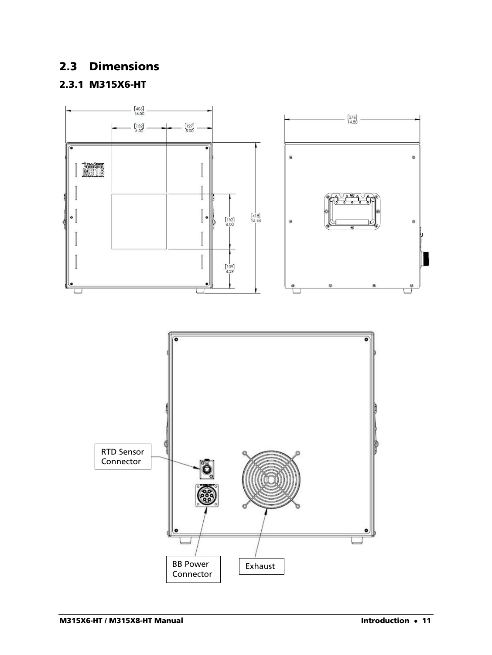# <span id="page-10-0"></span>2.3 Dimensions

## <span id="page-10-1"></span>2.3.1 M315X6-HT

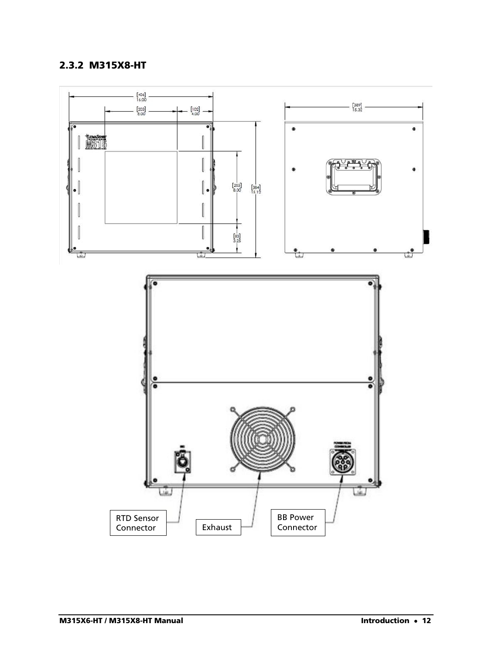## <span id="page-11-0"></span>2.3.2 M315X8-HT

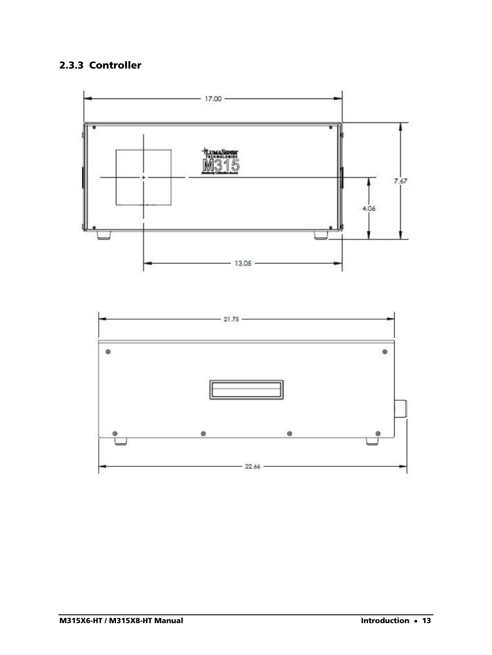## <span id="page-12-0"></span>2.3.3 Controller



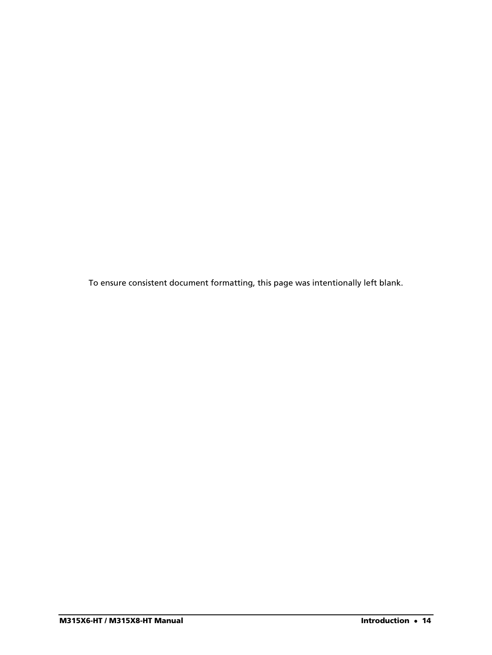To ensure consistent document formatting, this page was intentionally left blank.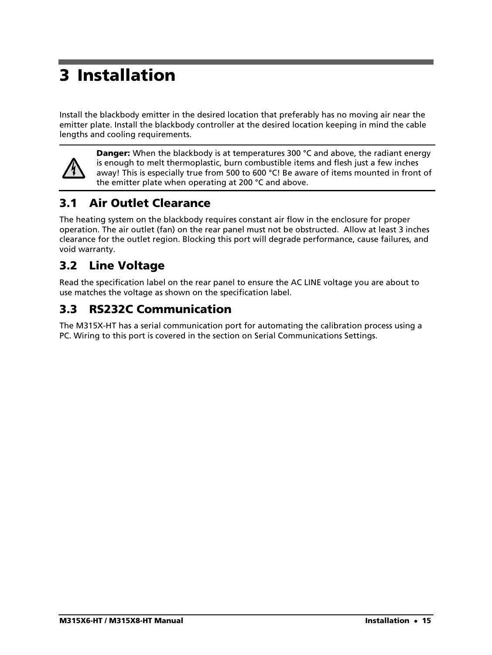# <span id="page-14-0"></span>3 Installation

Install the blackbody emitter in the desired location that preferably has no moving air near the emitter plate. Install the blackbody controller at the desired location keeping in mind the cable lengths and cooling requirements.



**Danger:** When the blackbody is at temperatures 300 °C and above, the radiant energy is enough to melt thermoplastic, burn combustible items and flesh just a few inches away! This is especially true from 500 to 600 °C! Be aware of items mounted in front of the emitter plate when operating at 200 °C and above.

# <span id="page-14-1"></span>3.1 Air Outlet Clearance

The heating system on the blackbody requires constant air flow in the enclosure for proper operation. The air outlet (fan) on the rear panel must not be obstructed. Allow at least 3 inches clearance for the outlet region. Blocking this port will degrade performance, cause failures, and void warranty.

# <span id="page-14-2"></span>3.2 Line Voltage

Read the specification label on the rear panel to ensure the AC LINE voltage you are about to use matches the voltage as shown on the specification label.

# <span id="page-14-3"></span>3.3 RS232C Communication

The M315X-HT has a serial communication port for automating the calibration process using a PC. Wiring to this port is covered in the section on Serial Communications Settings.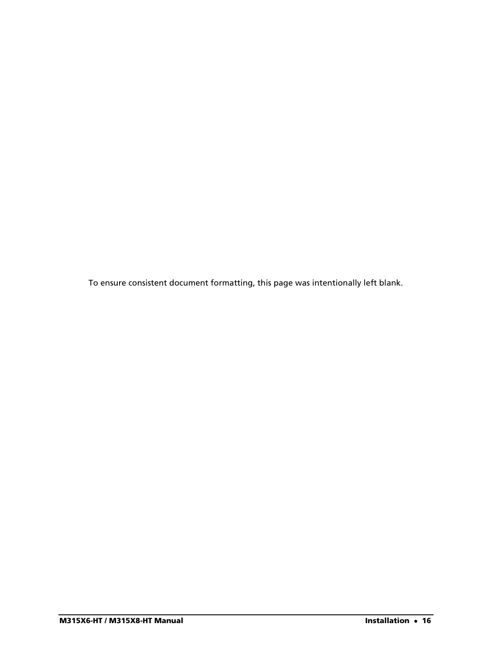To ensure consistent document formatting, this page was intentionally left blank.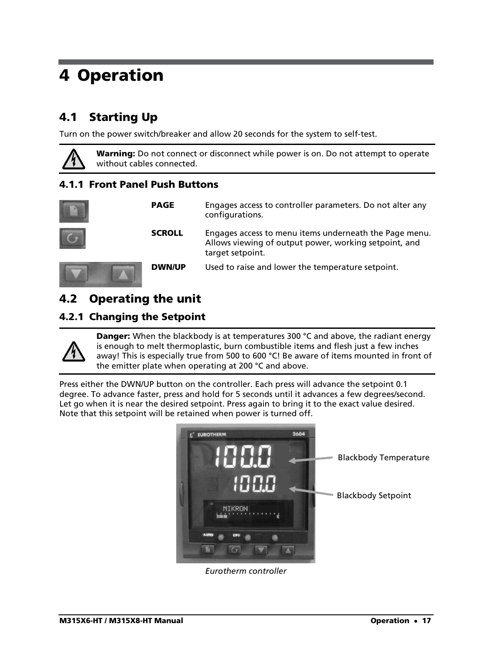# <span id="page-16-0"></span>4 Operation

# <span id="page-16-1"></span>4.1 Starting Up

Turn on the power switch/breaker and allow 20 seconds for the system to self-test.

Warning: Do not connect or disconnect while power is on. Do not attempt to operate without cables connected.

### <span id="page-16-2"></span>4.1.1 Front Panel Push Buttons

| <b>PAGE</b>   | Engages access to controller parameters. Do not alter any<br>configurations.                                                        |
|---------------|-------------------------------------------------------------------------------------------------------------------------------------|
| <b>SCROLL</b> | Engages access to menu items underneath the Page menu.<br>Allows viewing of output power, working setpoint, and<br>target setpoint. |
| <b>DWN/UP</b> | Used to raise and lower the temperature setpoint.                                                                                   |

# <span id="page-16-3"></span>4.2 Operating the unit

### <span id="page-16-4"></span>4.2.1 Changing the Setpoint



**Danger:** When the blackbody is at temperatures 300 °C and above, the radiant energy is enough to melt thermoplastic, burn combustible items and flesh just a few inches away! This is especially true from 500 to 600 °C! Be aware of items mounted in front of the emitter plate when operating at 200 °C and above.

Press either the DWN/UP button on the controller. Each press will advance the setpoint 0.1 degree. To advance faster, press and hold for 5 seconds until it advances a few degrees/second. Let go when it is near the desired setpoint. Press again to bring it to the exact value desired. Note that this setpoint will be retained when power is turned off.



*Eurotherm controller*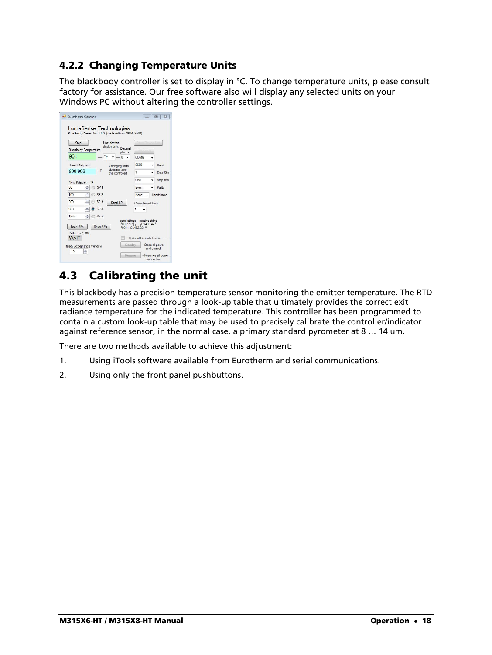### <span id="page-17-0"></span>4.2.2 Changing Temperature Units

The blackbody controller is set to display in °C. To change temperature units, please consult factory for assistance. Our free software also will display any selected units on your Windows PC without altering the controller settings.

| Stop<br><b>Blackbody Temperature</b> | Units for this<br>display only. | Decimal<br>places                 |                                                            | k.               |
|--------------------------------------|---------------------------------|-----------------------------------|------------------------------------------------------------|------------------|
| 901                                  | °F                              | n                                 | COM6                                                       |                  |
| <b>Current Setpoint</b>              |                                 | Changing units                    | 9600                                                       | <b>Baud</b>      |
| 899 996                              | *F                              | does not alter<br>the controller! | 7                                                          | Data Bits        |
| New Setpoint<br>۹F                   |                                 |                                   | One                                                        | <b>Stop Bits</b> |
| 50                                   | SP <sub>1</sub>                 |                                   | Even                                                       | Parity           |
| 100                                  | SP <sub>2</sub>                 |                                   | None                                                       | Handshake        |
| 200                                  | SP <sub>3</sub><br>Send SP      |                                   | Controller address                                         |                  |
| 900                                  | $O$ SP 4                        |                                   | 1                                                          |                  |
| ÷<br>1832                            | SP <sub>5</sub>                 |                                   |                                                            |                  |
| Load SPs                             | Save SPs                        | send strings                      | receive string<br>J0011SP 1 - PV483.42<br>10011-SL482.2219 |                  |
| Delta T = 1.004<br><b>WAIT</b>       |                                 |                                   | -- Optional Controls Enable                                |                  |

# <span id="page-17-1"></span>4.3 Calibrating the unit

This blackbody has a precision temperature sensor monitoring the emitter temperature. The RTD measurements are passed through a look-up table that ultimately provides the correct exit radiance temperature for the indicated temperature. This controller has been programmed to contain a custom look-up table that may be used to precisely calibrate the controller/indicator against reference sensor, in the normal case, a primary standard pyrometer at 8 … 14 um.

There are two methods available to achieve this adjustment:

- 1. Using iTools software available from Eurotherm and serial communications.
- 2. Using only the front panel pushbuttons.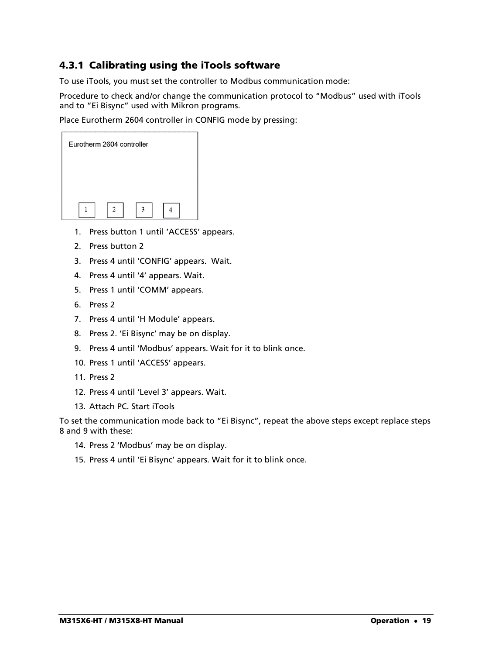### <span id="page-18-0"></span>4.3.1 Calibrating using the iTools software

To use iTools, you must set the controller to Modbus communication mode:

Procedure to check and/or change the communication protocol to "Modbus" used with iTools and to "Ei Bisync" used with Mikron programs.

Place Eurotherm 2604 controller in CONFIG mode by pressing:

| Eurotherm 2604 controller |   |   |  |
|---------------------------|---|---|--|
|                           |   |   |  |
|                           |   |   |  |
|                           | 2 | 3 |  |

- 1. Press button 1 until 'ACCESS' appears.
- 2. Press button 2
- 3. Press 4 until 'CONFIG' appears. Wait.
- 4. Press 4 until '4' appears. Wait.
- 5. Press 1 until 'COMM' appears.
- 6. Press 2
- 7. Press 4 until 'H Module' appears.
- 8. Press 2. 'Ei Bisync' may be on display.
- 9. Press 4 until 'Modbus' appears. Wait for it to blink once.
- 10. Press 1 until 'ACCESS' appears.
- 11. Press 2
- 12. Press 4 until 'Level 3' appears. Wait.
- 13. Attach PC. Start iTools

To set the communication mode back to "Ei Bisync", repeat the above steps except replace steps 8 and 9 with these:

- 14. Press 2 'Modbus' may be on display.
- 15. Press 4 until 'Ei Bisync' appears. Wait for it to blink once.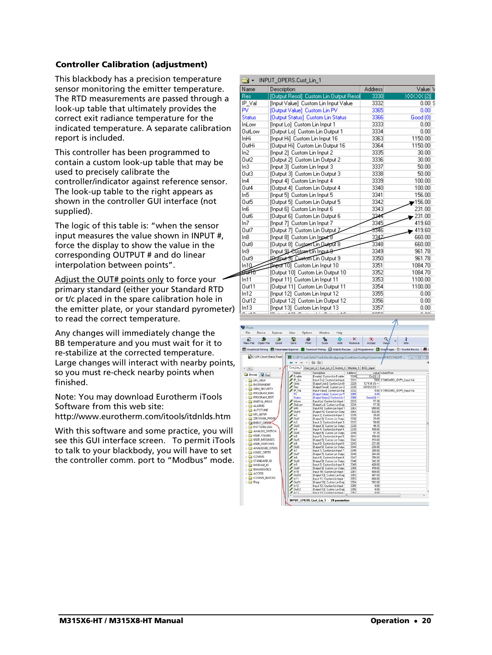#### Controller Calibration (adjustment)

This blackbody has a precision temperature sensor monitoring the emitter temperature. The RTD measurements are passed through a look-up table that ultimately provides the correct exit radiance temperature for the indicated temperature. A separate calibration report is included.

This controller has been programmed to contain a custom look-up table that may be used to precisely calibrate the controller/indicator against reference sensor. The look-up table to the right appears as shown in the controller GUI interface (not supplied).

The logic of this table is: "when the sensor input measures the value shown in INPUT #, force the display to show the value in the corresponding OUTPUT # and do linear interpolation between points".

Adjust the OUT# points only to force your of primary standard (either your Standard RTD or t/c placed in the spare calibration hole in the emitter plate, or your standard pyrometer) to read the correct temperature.

Any changes will immediately change the BB temperature and you must wait for it to re-stabilize at the corrected temperature. Large changes will interact with nearby points, so you must re-check nearby points when finished.

Note: You may download Eurotherm iTools Software from this web site: http://www.eurotherm.com/itools/itdnlds.htm

With this software and some practice, you will see this GUI interface screen. To permit iTools to talk to your blackbody, you will have to set the controller comm. port to "Modbus" mode.

| ∍ -              | INPUT OPERS.Cust Lin 1                 |                |           |
|------------------|----------------------------------------|----------------|-----------|
| Name             | Description                            | <b>Address</b> | Value V   |
| Res              | [Output Resol] Custom Lin Output Resol | 3330           | XXXX 121  |
| IP Val           | [Input Value] Custom Lin Input Value   | 3332           | $0.00$ S  |
| PV               | [Output Value] Custom Lin PV           | 3365           | 0.00      |
| <b>Status</b>    | [Output Status] Custom Lin Status      | 3366           | Good (0)  |
| InLow            | [Input Lo] Custom Lin Input 1          | 3333           | 0.00      |
| OutLow           | [Output Lo] Custom Lin Output 1        | 3334           | 0.00      |
| InHi             | [Input Hi] Custom Lin Input 16         | 3363           | 1150.00   |
| 0utHi            | [Output Hi] Custom Lin Output 16       | 3364           | 1150.00   |
| ln2              | [Input 2] Custom Lin Input 2           | 3335           | 30.00     |
| Out <sub>2</sub> | [Output 2] Custom Lin Output 2         | 3336           | 30,00     |
| In3              | [Input 3] Custom Lin Input 3           | 3337           | 50.00     |
| Out3             | [Output 3] Custom Lin Output 3         | 3338           | 50.00     |
| ln4              | [Input 4] Custom Lin Input 4           | 3339           | 100.00    |
| Out4             | [Output 4] Custom Lin Output 4         | 3340           | 100.00    |
| In5              | [Input 5] Custom Lin Input 5           | 3341           | 156.00    |
| Out5             | [Output 5] Custom Lin Output 5         | 3342           | $-156.00$ |
| In <sub>6</sub>  | [Input 6] Custom Lin Input 6           | 3343           | 231.00    |
| Out <sub>6</sub> | [Output 6] Custom Lin Output 6         | 3344           | 231.00    |
| ln7              | [Input 7] Custom Lin Input 7           | 3345           | 419.60    |
| Out7             | [Output 7] Custom Lin Output Z         | 3346           | 419.60    |
| ln8              | [Input 8] Custom Lin Input 8           | 3347           | 660.00    |
| Out8             | [Output 8] Custom Lin Dutput 8         | 3348           | 660.00    |
| In9              | [Input 9] Eustom Lin Input 9           | 3349           | 961.78    |
| Out9             | <b>JOUDUL 31 Custom Lin Output 9</b>   | 3350           | 961.78    |
| ln10             | Thput 10] Custom Lin Input 10          | 3351           | 1084.70   |
| £ফিলি০           | [Output 10] Custom Lin Output 10       | 3352           | 1084.70   |
| ln11             | [Input 11] Custom Lin Input 11         | 3353           | 1100.00   |
| Out11            | [Output 11] Custom Lin Output 11       | 3354           | 1100.00   |
| ln12             | [Input 12] Custom Lin Input 12         | 3355           | 0.00      |
| Out12            | [Output 12] Custom Lin Output 12       | 3356           | 0.00      |
| ln13             | [Input 13] Custom Lin Input 13         | 3357           | 0.00      |
|                  |                                        |                |           |

| <b>D</b> iTools              |                                              |                               |                                                                                |              |                          |                                                                            |
|------------------------------|----------------------------------------------|-------------------------------|--------------------------------------------------------------------------------|--------------|--------------------------|----------------------------------------------------------------------------|
| File<br>Device               | Explorer                                     | View                          | Options<br>Window<br>Help                                                      |              |                          |                                                                            |
| Ð<br>魚<br><b>New File</b>    | ne.<br><b>Open File</b><br>Load              | 鴨<br>Save                     | ÷<br>٩.<br>e.<br>Print<br>Scan<br>Add                                          | ×<br>Remove  | $\circledcirc$<br>Access | Q<br>ž<br>Views<br>Info                                                    |
|                              | Graphical Wiring <b>B</b> Parameter Explorer |                               |                                                                                |              |                          | Terminal Wiring 2 Watch/Recipe > Programmer D User/Pages 2> Toolkit Blocks |
|                              | C:\XP-Croot\DataCFixed                       |                               |                                                                                |              |                          |                                                                            |
|                              |                                              |                               | C:\XP-Croot\DataCFixed\blackbodyprogs\EurothermConfigs\Customers#II\M315X12HT- |              |                          | $\Box$                                                                     |
|                              |                                              | $-1$<br>$\Rightarrow$         | $\star$                                                                        |              |                          |                                                                            |
| $\leftarrow$ 1.000           | ×                                            | Cust Lin 1                    | Cust_Lin_2 Cust_Lin_3 Switch_1 Monitor_1 BCD_Input                             |              |                          |                                                                            |
|                              |                                              | Name                          | Description                                                                    | Address      |                          | Value Weed From                                                            |
| Browse Q <sub>a</sub> l Find |                                              | $P$ Enable                    | [Enable] Custom Lin Enable                                                     | 3328         | $On 111 -$               |                                                                            |
| <b>D-CI LP1 VIEW</b>         |                                              | P Sto                         | <b>Ilnput Src] Custom Lin Input</b>                                            | 3331         |                          | 5108 STANDARD IO.PV Input Val                                              |
| <b>ET INSTRUMENT</b>         |                                              | / Units                       | [Output Units] Custom Lin Or                                                   | 3329         | "C/"F/K (1) =            |                                                                            |
| OEM SECURITY                 |                                              | $P$ Res                       | [Output Resol] Custom Lin O                                                    | 3330         | XXXXIII -                |                                                                            |
|                              |                                              | $P$ IP Val                    | <b>Ilnput Value1 Custom Lin Inp.</b>                                           | 3332         |                          | 0.00 STANDARD IO.PV Input Val                                              |
| PROGRAM RUN                  |                                              | <b>PV</b>                     | [Output Value] Custom Lin P                                                    | 3365         | 0.00                     |                                                                            |
| <b>PROGRAM EDIT</b>          |                                              | Status                        | [Output Status] Custom Lin S                                                   | 3366         | $Good(0) =$              |                                                                            |
| <b>DIGITAL PROG</b>          |                                              | / InLow                       | <b>Reput Lol</b> Custom Lin Input                                              | 3333         | $-17.78$                 |                                                                            |
| <b>ALARMS</b>                |                                              | OutLow                        | [Output Lo] Custom Lin Outcl                                                   | 3334         | $-17.78$                 |                                                                            |
| <b>AUTOTUNE</b>              |                                              | A InHi                        | [Input Hi] Custom Lin Input 1                                                  | 3363         | 650.00                   |                                                                            |
|                              |                                              | $20u$ Hi                      | [Output Hi] Custom Lin Outp                                                    | 3364         | 632.00                   |                                                                            |
| LP1 SETUP                    |                                              | $\sqrt{1}$ In <sub>2</sub>    | [Input 2] Custom Lin Input 2                                                   | 3335         | 25.00                    |                                                                            |
| ZIRCONIA_PROBE               |                                              | 002                           | [Output 2] Custom Lin Outpu                                                    | 3336         | 25.00                    |                                                                            |
| INPUT OPERS                  |                                              | $\sqrt{103}$                  | [Input 3] Custom Lin Input 3                                                   | 3337         | 50.00                    |                                                                            |
| PATTERN GEN                  |                                              | 0u3                           | [Output 3] Custom Lin Outpu                                                    | 3338         | 48.70                    |                                                                            |
| ANALOG SWITCH                |                                              | 2 ln 4                        | <b>Ilnput 41 Custom Lin Input 4</b>                                            | 3339         | 100.00                   |                                                                            |
| USER VALUES                  |                                              | 20u4                          | [Output 4] Custom Lin Outpu                                                    | 3340         | 97.70                    |                                                                            |
|                              |                                              | $\mathscr{P}$ In <sub>5</sub> | [Input 5] Custom Lin Input 5                                                   | 3341         | 156.00                   |                                                                            |
| USER MESSAGES                |                                              | 0 <sub>u5</sub>               | [Output 5] Custom Lin Outpu                                                    | 3342         | 153.00                   |                                                                            |
| USER SWITCHES                |                                              | $\mathscr{P}$ In S            | [Input 6] Custom Lin Input 6                                                   | 3343         | 231.00                   |                                                                            |
| ANALOGUE OPERS               |                                              | 20u6                          | [Output 6] Custom Lin Outpu                                                    | 3344         | 226.00                   |                                                                            |
| <b>LOGIC OPERS</b>           |                                              | $\sqrt{107}$                  | <b>Bnput 71 Custom Lin Input 7</b>                                             | 3345         | 300.00                   |                                                                            |
| <b>D</b> COMMS               |                                              | 0 <sup>u</sup>                | [Output 7] Custom Lin Outpu                                                    | 3346         | 294.00                   |                                                                            |
|                              |                                              | $\blacksquare$                | [Input 8] Custom Lin Input 8                                                   | 3347         | 350.00                   |                                                                            |
| STANDARD IO                  |                                              | $20u$ 8                       | [Output 8] Custom Lin Outpu                                                    | 3348         | 342.20                   |                                                                            |
| MODULE IO                    |                                              | $\blacksquare$                | <b>Ilnput 91 Custom Lin Input 9</b>                                            | 3349         | 420.00                   |                                                                            |
| <b>DIAGNOSTICS</b>           |                                              | 20u                           | [Output 9] Custom Lin Outpu                                                    | 3350         | 410.00                   |                                                                            |
| ACCESS                       |                                              | $\blacksquare$ In10           | [Input 10] Custom Lin Input                                                    | 3351         | 500.00                   |                                                                            |
| <b>DEL COMMS BLOCKS</b>      |                                              | $20$ Out10                    | [Output 10] Custom Lin Outp                                                    | 3352         | 487.00                   |                                                                            |
|                              |                                              | $\blacksquare$ In11           | [Input 11] Custom Lin Input                                                    | 3353         | 600.00                   |                                                                            |
| <b>Diag</b>                  |                                              | $20$ ut11                     | [Output 11] Custom Lin Outp                                                    | 3354         | 582.00                   |                                                                            |
|                              |                                              | ln12<br>$20$ ut12             | <b>Ilnput 121 Custom Lin Input</b>                                             | 3355         | 0.00                     |                                                                            |
|                              |                                              | 4ln13                         | [Output 12] Custom Lin Outc.<br>Bonu # 131 Custom Lin Innu # 1                 | 3356<br>3357 | 0.00<br>n nn             |                                                                            |
|                              |                                              |                               |                                                                                |              |                          |                                                                            |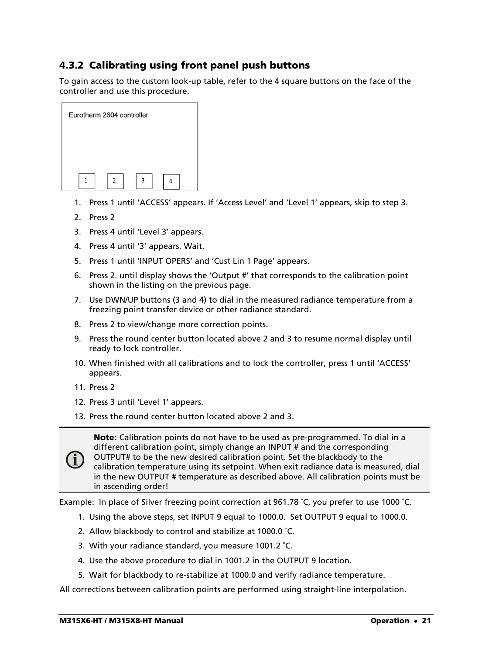### <span id="page-20-0"></span>4.3.2 Calibrating using front panel push buttons

To gain access to the custom look-up table, refer to the 4 square buttons on the face of the controller and use this procedure.

| Eurotherm 2604 controller |   |   |  |  |  |
|---------------------------|---|---|--|--|--|
|                           |   |   |  |  |  |
|                           |   |   |  |  |  |
|                           | 2 | 3 |  |  |  |

- 1. Press 1 until 'ACCESS' appears. If 'Access Level' and 'Level 1' appears, skip to step 3.
- 2. Press 2
- 3. Press 4 until 'Level 3' appears.
- 4. Press 4 until '3' appears. Wait.
- 5. Press 1 until 'INPUT OPERS' and 'Cust Lin 1 Page' appears.
- 6. Press 2. until display shows the 'Output #' that corresponds to the calibration point shown in the listing on the previous page.
- 7. Use DWN/UP buttons (3 and 4) to dial in the measured radiance temperature from a freezing point transfer device or other radiance standard.
- 8. Press 2 to view/change more correction points.
- 9. Press the round center button located above 2 and 3 to resume normal display until ready to lock controller.
- 10. When finished with all calibrations and to lock the controller, press 1 until 'ACCESS' appears.
- 11. Press 2
- 12. Press 3 until 'Level 1' appears.
- 13. Press the round center button located above 2 and 3.



Note: Calibration points do not have to be used as pre-programmed. To dial in a different calibration point, simply change an INPUT # and the corresponding OUTPUT# to be the new desired calibration point. Set the blackbody to the calibration temperature using its setpoint. When exit radiance data is measured, dial in the new OUTPUT # temperature as described above. All calibration points must be in ascending order!

Example: In place of Silver freezing point correction at 961.78 ˚C, you prefer to use 1000 ˚C.

- 1. Using the above steps, set INPUT 9 equal to 1000.0. Set OUTPUT 9 equal to 1000.0.
- 2. Allow blackbody to control and stabilize at 1000.0 ˚C.
- 3. With your radiance standard, you measure 1001.2 ˚C.
- 4. Use the above procedure to dial in 1001.2 in the OUTPUT 9 location.
- 5. Wait for blackbody to re-stabilize at 1000.0 and verify radiance temperature.

All corrections between calibration points are performed using straight-line interpolation.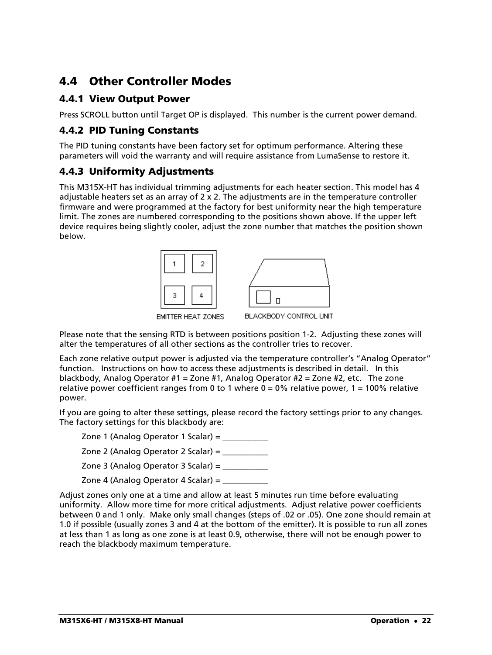# <span id="page-21-0"></span>4.4 Other Controller Modes

#### <span id="page-21-1"></span>4.4.1 View Output Power

Press SCROLL button until Target OP is displayed. This number is the current power demand.

#### <span id="page-21-2"></span>4.4.2 PID Tuning Constants

The PID tuning constants have been factory set for optimum performance. Altering these parameters will void the warranty and will require assistance from LumaSense to restore it.

#### <span id="page-21-3"></span>4.4.3 Uniformity Adjustments

This M315X-HT has individual trimming adjustments for each heater section. This model has 4 adjustable heaters set as an array of  $2 \times 2$ . The adjustments are in the temperature controller firmware and were programmed at the factory for best uniformity near the high temperature limit. The zones are numbered corresponding to the positions shown above. If the upper left device requires being slightly cooler, adjust the zone number that matches the position shown below.



Please note that the sensing RTD is between positions position 1-2. Adjusting these zones will alter the temperatures of all other sections as the controller tries to recover.

Each zone relative output power is adjusted via the temperature controller's "Analog Operator" function. Instructions on how to access these adjustments is described in detail. In this blackbody, Analog Operator #1 = Zone #1, Analog Operator #2 = Zone #2, etc. The zone relative power coefficient ranges from 0 to 1 where  $0 = 0\%$  relative power,  $1 = 100\%$  relative power.

If you are going to alter these settings, please record the factory settings prior to any changes. The factory settings for this blackbody are:

Zone 1 (Analog Operator 1 Scalar) =

Zone 2 (Analog Operator 2 Scalar) =

Zone 3 (Analog Operator 3 Scalar) =  $\frac{1}{2}$ 

Zone 4 (Analog Operator 4 Scalar) =

Adjust zones only one at a time and allow at least 5 minutes run time before evaluating uniformity. Allow more time for more critical adjustments. Adjust relative power coefficients between 0 and 1 only. Make only small changes (steps of .02 or .05). One zone should remain at 1.0 if possible (usually zones 3 and 4 at the bottom of the emitter). It is possible to run all zones at less than 1 as long as one zone is at least 0.9, otherwise, there will not be enough power to reach the blackbody maximum temperature.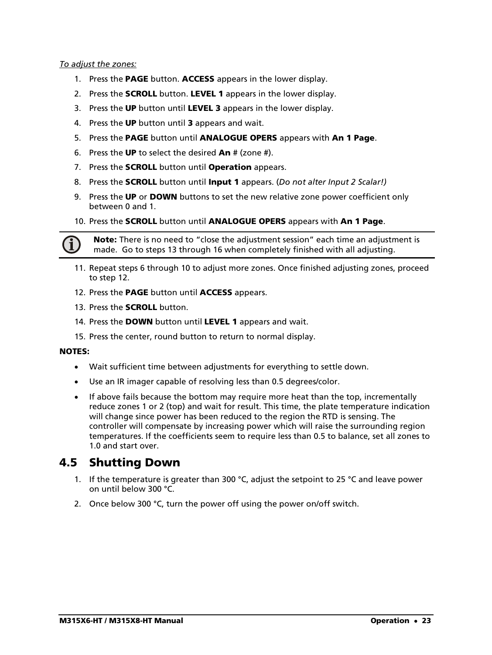#### *To adjust the zones:*

- 1. Press the **PAGE** button. **ACCESS** appears in the lower display.
- 2. Press the **SCROLL** button. LEVEL 1 appears in the lower display.
- 3. Press the UP button until LEVEL 3 appears in the lower display.
- 4. Press the UP button until 3 appears and wait.
- 5. Press the PAGE button until ANALOGUE OPERS appears with An 1 Page.
- 6. Press the UP to select the desired An  $#$  (zone  $#$ ).
- 7. Press the **SCROLL** button until **Operation** appears.
- 8. Press the SCROLL button until Input 1 appears. (*Do not alter Input 2 Scalar!)*
- 9. Press the UP or DOWN buttons to set the new relative zone power coefficient only between 0 and 1.
- 10. Press the SCROLL button until ANALOGUE OPERS appears with An 1 Page.

Note: There is no need to "close the adjustment session" each time an adjustment is made. Go to steps 13 through 16 when completely finished with all adjusting.

- 11. Repeat steps 6 through 10 to adjust more zones. Once finished adjusting zones, proceed to step 12.
- 12. Press the **PAGE** button until **ACCESS** appears.
- 13. Press the **SCROLL** button.
- 14. Press the DOWN button until LEVEL 1 appears and wait.
- 15. Press the center, round button to return to normal display.

#### NOTES:

- Wait sufficient time between adjustments for everything to settle down.
- Use an IR imager capable of resolving less than 0.5 degrees/color.
- If above fails because the bottom may require more heat than the top, incrementally reduce zones 1 or 2 (top) and wait for result. This time, the plate temperature indication will change since power has been reduced to the region the RTD is sensing. The controller will compensate by increasing power which will raise the surrounding region temperatures. If the coefficients seem to require less than 0.5 to balance, set all zones to 1.0 and start over.

## <span id="page-22-0"></span>4.5 Shutting Down

- 1. If the temperature is greater than 300 °C, adjust the setpoint to 25 °C and leave power on until below 300 °C.
- 2. Once below 300 °C, turn the power off using the power on/off switch.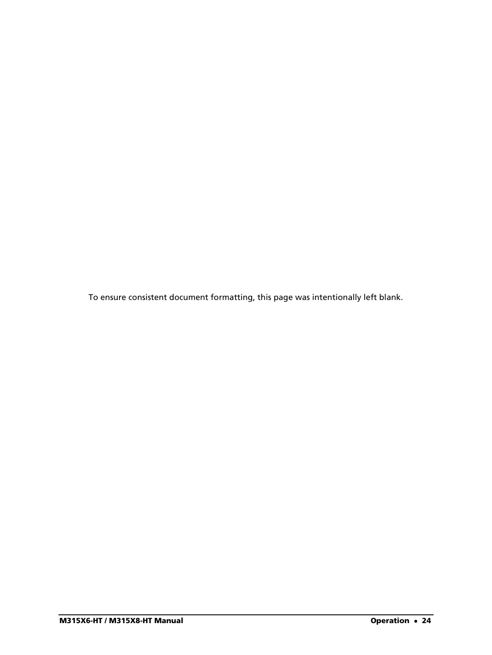To ensure consistent document formatting, this page was intentionally left blank.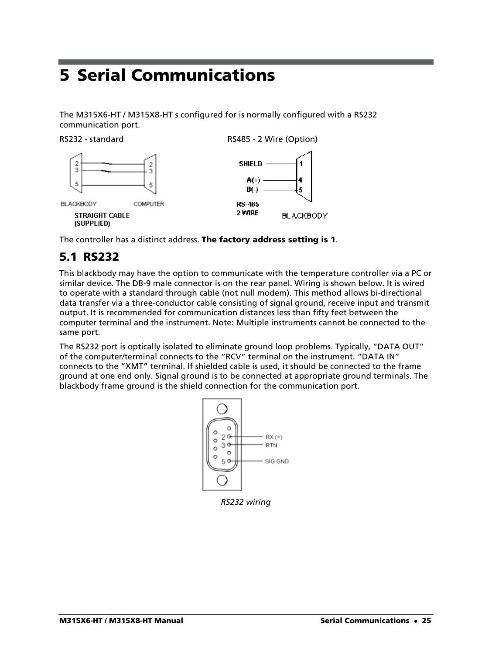# <span id="page-24-0"></span>5 Serial Communications

The M315X6-HT / M315X8-HT s configured for is normally configured with a RS232 communication port.



The controller has a distinct address. The factory address setting is 1.

# <span id="page-24-1"></span>5.1 RS232

This blackbody may have the option to communicate with the temperature controller via a PC or similar device. The DB-9 male connector is on the rear panel. Wiring is shown below. It is wired to operate with a standard through cable (not null modem). This method allows bi-directional data transfer via a three-conductor cable consisting of signal ground, receive input and transmit output. It is recommended for communication distances less than fifty feet between the computer terminal and the instrument. Note: Multiple instruments cannot be connected to the same port.

The RS232 port is optically isolated to eliminate ground loop problems. Typically, "DATA OUT" of the computer/terminal connects to the "RCV" terminal on the instrument. "DATA IN" connects to the "XMT" terminal. If shielded cable is used, it should be connected to the frame ground at one end only. Signal ground is to be connected at appropriate ground terminals. The blackbody frame ground is the shield connection for the communication port.



*RS232 wiring*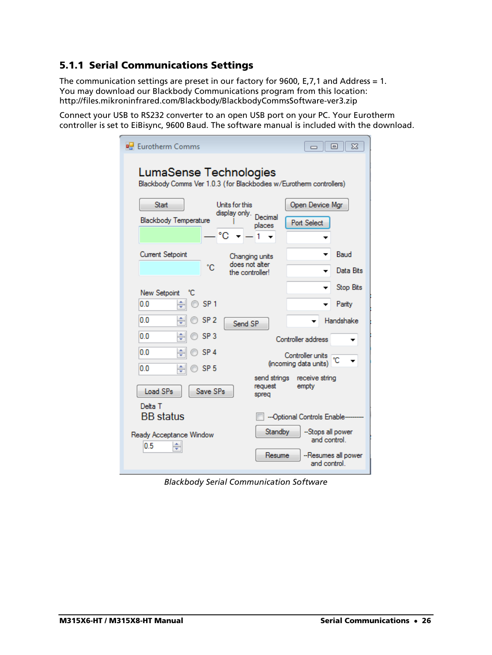### <span id="page-25-0"></span>5.1.1 Serial Communications Settings

The communication settings are preset in our factory for 9600, E,7,1 and Address = 1. You may download our Blackbody Communications program from this location: http://files.mikroninfrared.com/Blackbody/BlackbodyCommsSoftware-ver3.zip

Connect your USB to RS232 converter to an open USB port on your PC. Your Eurotherm controller is set to EiBisync, 9600 Baud. The software manual is included with the download.

| <b>Eurotherm Comms</b>                                                                        | 同<br>$\Sigma$                                                 |  |  |  |  |
|-----------------------------------------------------------------------------------------------|---------------------------------------------------------------|--|--|--|--|
| LumaSense Technologies<br>Blackbody Comms Ver 1.0.3 (for Blackbodies w/Eurotherm controllers) |                                                               |  |  |  |  |
| Units for this<br><b>Start</b><br>display only.<br><b>Blackbody Temperature</b><br>°C<br>1    | Open Device Mgr<br>Decimal<br>Port Select<br>places           |  |  |  |  |
| <b>Current Setpoint</b><br>Changing units<br>does not alter<br>۴C<br>the controller!          | Baud<br>Data Bits                                             |  |  |  |  |
| New Setpoint<br>°C.<br>0 O<br>SP <sub>1</sub>                                                 | <b>Stop Bits</b><br>Parity                                    |  |  |  |  |
| 00<br>÷<br>SP <sub>2</sub><br>Send SP<br>0O<br>÷<br>SP <sub>3</sub>                           | Handshake<br>Controller address                               |  |  |  |  |
| 0 <sub>0</sub><br>÷<br>SP <sub>4</sub><br>÷<br>00<br>SP <sub>5</sub>                          | Controller units C<br>(incoming data units)                   |  |  |  |  |
| Load SPs<br>Save SPs                                                                          | send strings receive string<br>request<br>empty<br>spreg      |  |  |  |  |
| Delta T<br><b>BB</b> status<br>Ready Acceptance Window                                        | ---Optional Controls Enable-<br>Standby<br>--Stops all power  |  |  |  |  |
| ÷<br>0.5                                                                                      | and control.<br>Resume<br>--Resumes all power<br>and control. |  |  |  |  |

*Blackbody Serial Communication Software*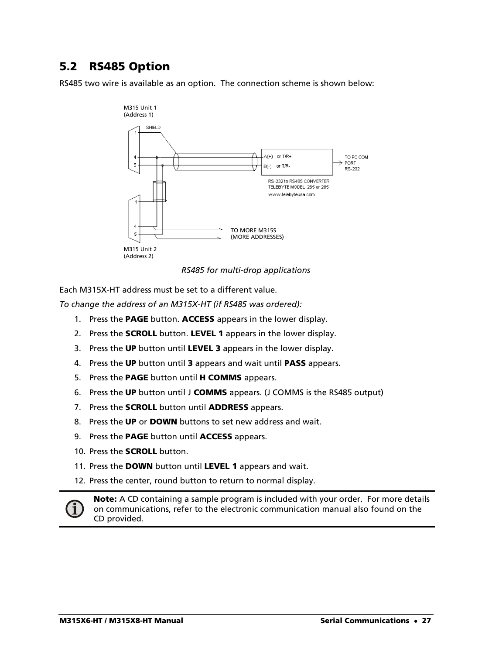# <span id="page-26-0"></span>5.2 RS485 Option

RS485 two wire is available as an option. The connection scheme is shown below:



*RS485 for multi-drop applications*

Each M315X-HT address must be set to a different value.

*To change the address of an M315X-HT (if RS485 was ordered):*

- 1. Press the **PAGE** button. **ACCESS** appears in the lower display.
- 2. Press the **SCROLL** button. LEVEL 1 appears in the lower display.
- 3. Press the UP button until LEVEL 3 appears in the lower display.
- 4. Press the UP button until 3 appears and wait until PASS appears.
- 5. Press the PAGE button until H COMMS appears.
- 6. Press the UP button until J COMMS appears. (J COMMS is the RS485 output)
- 7. Press the **SCROLL** button until **ADDRESS** appears.
- 8. Press the UP or DOWN buttons to set new address and wait.
- 9. Press the **PAGE** button until **ACCESS** appears.
- 10. Press the **SCROLL** button.
- 11. Press the DOWN button until LEVEL 1 appears and wait.
- 12. Press the center, round button to return to normal display.



Note: A CD containing a sample program is included with your order. For more details on communications, refer to the electronic communication manual also found on the CD provided.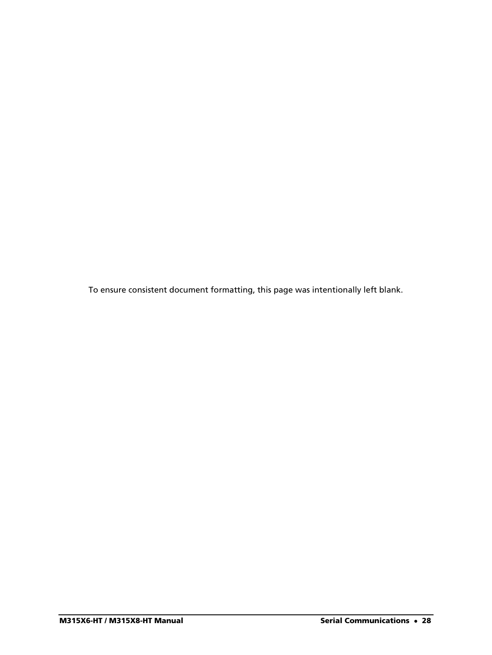To ensure consistent document formatting, this page was intentionally left blank.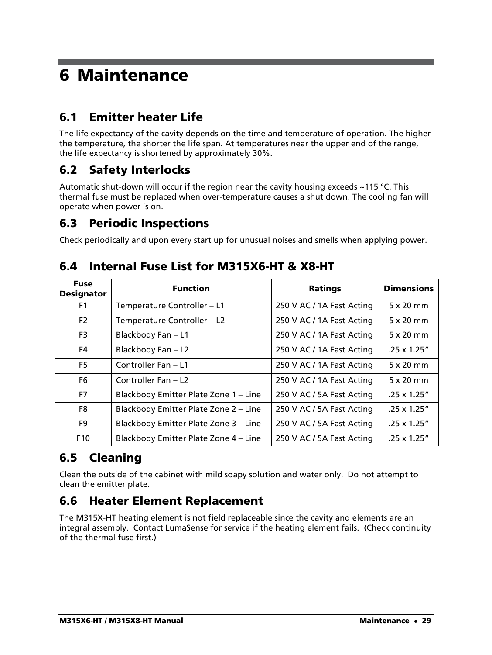# <span id="page-28-0"></span>6 Maintenance

# <span id="page-28-1"></span>6.1 Emitter heater Life

The life expectancy of the cavity depends on the time and temperature of operation. The higher the temperature, the shorter the life span. At temperatures near the upper end of the range, the life expectancy is shortened by approximately 30%.

# <span id="page-28-2"></span>6.2 Safety Interlocks

Automatic shut-down will occur if the region near the cavity housing exceeds ~115 °C. This thermal fuse must be replaced when over-temperature causes a shut down. The cooling fan will operate when power is on.

## <span id="page-28-3"></span>6.3 Periodic Inspections

Check periodically and upon every start up for unusual noises and smells when applying power.

| <b>Fuse</b><br><b>Designator</b> | <b>Function</b>                       | <b>Ratings</b>            | <b>Dimensions</b>   |
|----------------------------------|---------------------------------------|---------------------------|---------------------|
| F <sub>1</sub>                   | Temperature Controller - L1           | 250 V AC / 1A Fast Acting | $5 \times 20$ mm    |
| F <sub>2</sub>                   | Temperature Controller - L2           | 250 V AC / 1A Fast Acting | $5 \times 20$ mm    |
| F <sub>3</sub>                   | Blackbody Fan - L1                    | 250 V AC / 1A Fast Acting | $5 \times 20$ mm    |
| F4                               | Blackbody Fan - L2                    | 250 V AC / 1A Fast Acting | $.25 \times 1.25''$ |
| F <sub>5</sub>                   | Controller Fan - L1                   | 250 V AC / 1A Fast Acting | $5 \times 20$ mm    |
| F6                               | Controller Fan - L2                   | 250 V AC / 1A Fast Acting | $5 \times 20$ mm    |
| F7                               | Blackbody Emitter Plate Zone 1 - Line | 250 V AC / 5A Fast Acting | $.25 \times 1.25''$ |
| F8                               | Blackbody Emitter Plate Zone 2 - Line | 250 V AC / 5A Fast Acting | $.25 \times 1.25''$ |
| F9                               | Blackbody Emitter Plate Zone 3 - Line | 250 V AC / 5A Fast Acting | $.25 \times 1.25''$ |
| F <sub>10</sub>                  | Blackbody Emitter Plate Zone 4 - Line | 250 V AC / 5A Fast Acting | $.25 \times 1.25''$ |

## <span id="page-28-4"></span>6.4 Internal Fuse List for M315X6-HT & X8-HT

# <span id="page-28-5"></span>6.5 Cleaning

Clean the outside of the cabinet with mild soapy solution and water only. Do not attempt to clean the emitter plate.

# <span id="page-28-6"></span>6.6 Heater Element Replacement

The M315X-HT heating element is not field replaceable since the cavity and elements are an integral assembly. Contact LumaSense for service if the heating element fails. (Check continuity of the thermal fuse first.)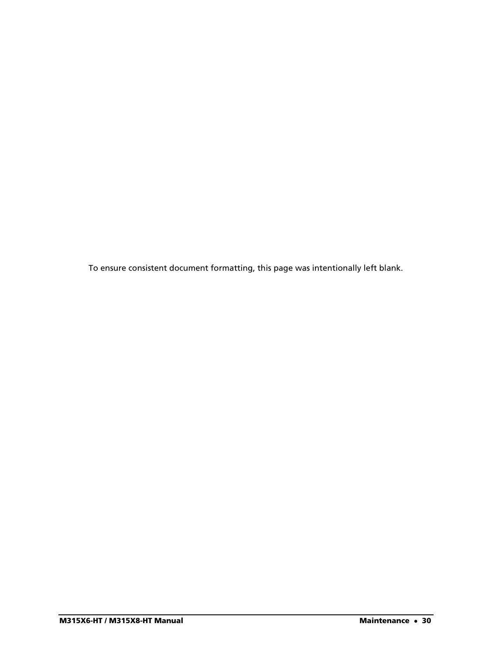To ensure consistent document formatting, this page was intentionally left blank.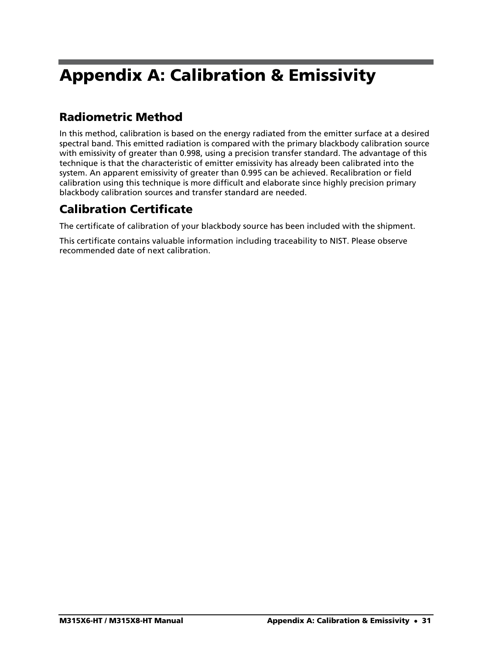# <span id="page-30-0"></span>Appendix A: Calibration & Emissivity

# <span id="page-30-1"></span>Radiometric Method

In this method, calibration is based on the energy radiated from the emitter surface at a desired spectral band. This emitted radiation is compared with the primary blackbody calibration source with emissivity of greater than 0.998, using a precision transfer standard. The advantage of this technique is that the characteristic of emitter emissivity has already been calibrated into the system. An apparent emissivity of greater than 0.995 can be achieved. Recalibration or field calibration using this technique is more difficult and elaborate since highly precision primary blackbody calibration sources and transfer standard are needed.

# <span id="page-30-2"></span>Calibration Certificate

The certificate of calibration of your blackbody source has been included with the shipment.

This certificate contains valuable information including traceability to NIST. Please observe recommended date of next calibration.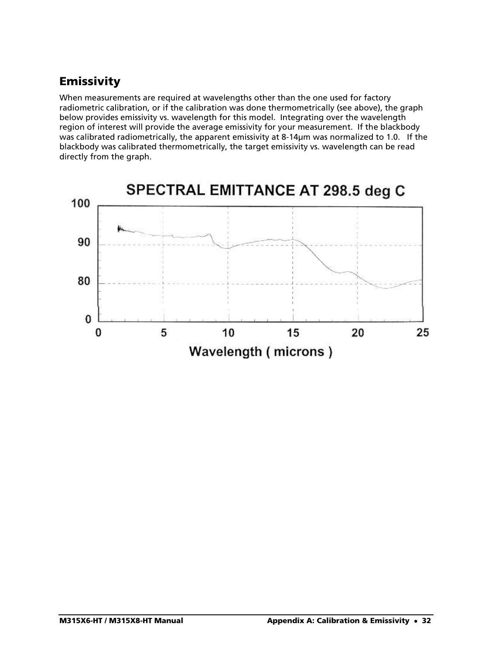# <span id="page-31-0"></span>**Emissivity**

When measurements are required at wavelengths other than the one used for factory radiometric calibration, or if the calibration was done thermometrically (see above), the graph below provides emissivity vs. wavelength for this model. Integrating over the wavelength region of interest will provide the average emissivity for your measurement. If the blackbody was calibrated radiometrically, the apparent emissivity at 8-14um was normalized to 1.0. If the blackbody was calibrated thermometrically, the target emissivity vs. wavelength can be read directly from the graph.

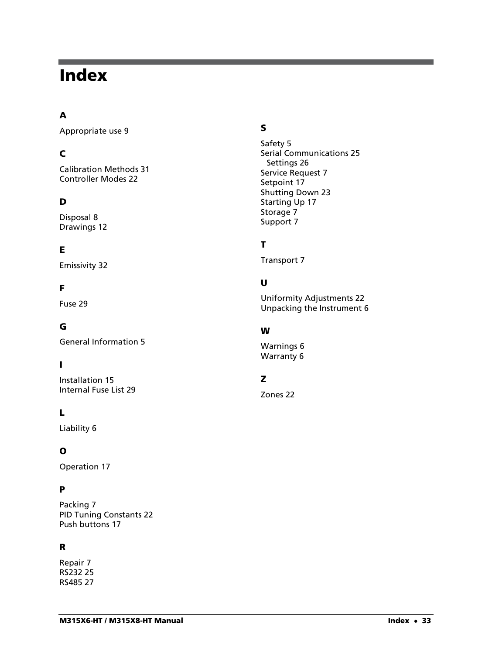# <span id="page-32-0"></span>Index

# A

Appropriate use 9

## C

Calibration Methods 31 Controller Modes 22

## D

Disposal 8 Drawings 12

## E

Emissivity 32

### F

Fuse 29

### G

General Information 5

### I

Installation 15 Internal Fuse List 29

#### L

Liability 6

#### O

Operation 17

#### P

Packing 7 PID Tuning Constants 22 Push buttons 17

#### R

Repair 7 RS232 25 RS485 27

#### S

Safety 5 Serial Communications 25 Settings 26 Service Request 7 Setpoint 17 Shutting Down 23 Starting Up 17 Storage 7 Support 7

### T

Transport 7

#### U

Uniformity Adjustments 22 Unpacking the Instrument 6

#### W

Warnings 6 Warranty 6

#### Z

Zones 22